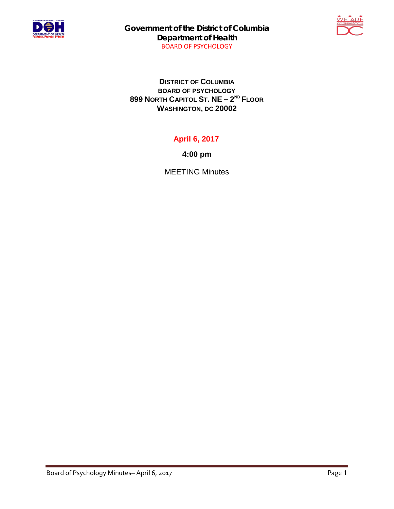

**Government of the District of Columbia Department of Health** BOARD OF PSYCHOLOGY



**DISTRICT OF COLUMBIA BOARD OF PSYCHOLOGY 899 NORTH CAPITOL ST. NE – 2ND FLOOR WASHINGTON, DC 20002**

## **April 6, 2017**

**4:00 pm**

MEETING Minutes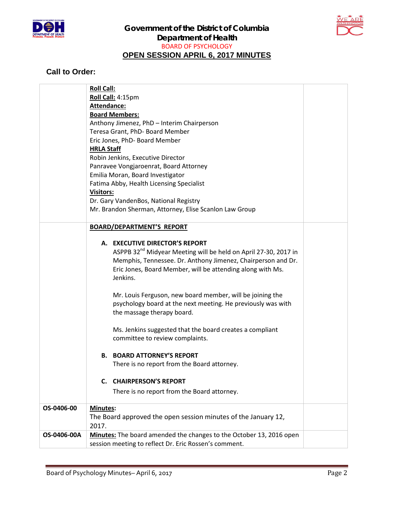



## **Call to Order:**

|             | <b>Roll Call:</b>                                                           |  |
|-------------|-----------------------------------------------------------------------------|--|
|             | Roll Call: 4:15pm                                                           |  |
|             | <b>Attendance:</b>                                                          |  |
|             | <b>Board Members:</b>                                                       |  |
|             | Anthony Jimenez, PhD - Interim Chairperson                                  |  |
|             | Teresa Grant, PhD- Board Member                                             |  |
|             | Eric Jones, PhD- Board Member                                               |  |
|             | <b>HRLA Staff</b>                                                           |  |
|             | Robin Jenkins, Executive Director                                           |  |
|             | Panravee Vongjaroenrat, Board Attorney                                      |  |
|             | Emilia Moran, Board Investigator                                            |  |
|             | Fatima Abby, Health Licensing Specialist                                    |  |
|             | <b>Visitors:</b>                                                            |  |
|             | Dr. Gary VandenBos, National Registry                                       |  |
|             | Mr. Brandon Sherman, Attorney, Elise Scanlon Law Group                      |  |
|             |                                                                             |  |
|             | <b>BOARD/DEPARTMENT'S REPORT</b>                                            |  |
|             |                                                                             |  |
|             | A. EXECUTIVE DIRECTOR'S REPORT                                              |  |
|             | ASPPB 32 <sup>nd</sup> Midyear Meeting will be held on April 27-30, 2017 in |  |
|             | Memphis, Tennessee. Dr. Anthony Jimenez, Chairperson and Dr.                |  |
|             | Eric Jones, Board Member, will be attending along with Ms.<br>Jenkins.      |  |
|             |                                                                             |  |
|             | Mr. Louis Ferguson, new board member, will be joining the                   |  |
|             | psychology board at the next meeting. He previously was with                |  |
|             | the massage therapy board.                                                  |  |
|             |                                                                             |  |
|             | Ms. Jenkins suggested that the board creates a compliant                    |  |
|             | committee to review complaints.                                             |  |
|             |                                                                             |  |
|             | <b>BOARD ATTORNEY'S REPORT</b><br>В.                                        |  |
|             | There is no report from the Board attorney.                                 |  |
|             |                                                                             |  |
|             | <b>C. CHAIRPERSON'S REPORT</b>                                              |  |
|             | There is no report from the Board attorney.                                 |  |
|             |                                                                             |  |
| OS-0406-00  | Minutes:                                                                    |  |
|             | The Board approved the open session minutes of the January 12,              |  |
|             | 2017.                                                                       |  |
| OS-0406-00A | Minutes: The board amended the changes to the October 13, 2016 open         |  |
|             | session meeting to reflect Dr. Eric Rossen's comment.                       |  |